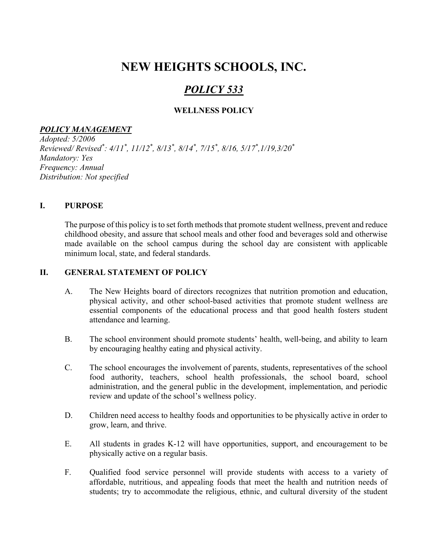# NEW HEIGHTS SCHOOLS, INC.

## POLICY 533

## WELLNESS POLICY

## POLICY MANAGEMENT

Adopted: 5/2006 Reviewed/Revised\*: 4/11\*, 11/12\*, 8/13\*, 8/14\*, 7/15\*, 8/16, 5/17\*,1/19,3/20\* Mandatory: Yes Frequency: Annual Distribution: Not specified

## I. PURPOSE

The purpose of this policy is to set forth methods that promote student wellness, prevent and reduce childhood obesity, and assure that school meals and other food and beverages sold and otherwise made available on the school campus during the school day are consistent with applicable minimum local, state, and federal standards.

#### II. GENERAL STATEMENT OF POLICY

- A. The New Heights board of directors recognizes that nutrition promotion and education, physical activity, and other school-based activities that promote student wellness are essential components of the educational process and that good health fosters student attendance and learning.
- B. The school environment should promote students' health, well-being, and ability to learn by encouraging healthy eating and physical activity.
- C. The school encourages the involvement of parents, students, representatives of the school food authority, teachers, school health professionals, the school board, school administration, and the general public in the development, implementation, and periodic review and update of the school's wellness policy.
- D. Children need access to healthy foods and opportunities to be physically active in order to grow, learn, and thrive.
- E. All students in grades K-12 will have opportunities, support, and encouragement to be physically active on a regular basis.
- F. Qualified food service personnel will provide students with access to a variety of affordable, nutritious, and appealing foods that meet the health and nutrition needs of students; try to accommodate the religious, ethnic, and cultural diversity of the student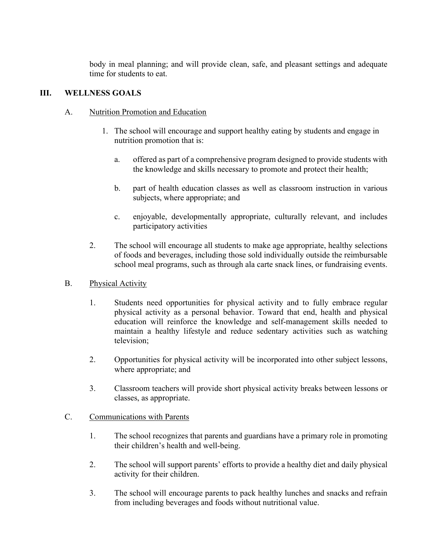body in meal planning; and will provide clean, safe, and pleasant settings and adequate time for students to eat.

## III. WELLNESS GOALS

## A. Nutrition Promotion and Education

- 1. The school will encourage and support healthy eating by students and engage in nutrition promotion that is:
	- a. offered as part of a comprehensive program designed to provide students with the knowledge and skills necessary to promote and protect their health;
	- b. part of health education classes as well as classroom instruction in various subjects, where appropriate; and
	- c. enjoyable, developmentally appropriate, culturally relevant, and includes participatory activities
- 2. The school will encourage all students to make age appropriate, healthy selections of foods and beverages, including those sold individually outside the reimbursable school meal programs, such as through ala carte snack lines, or fundraising events.
- B. Physical Activity
	- 1. Students need opportunities for physical activity and to fully embrace regular physical activity as a personal behavior. Toward that end, health and physical education will reinforce the knowledge and self-management skills needed to maintain a healthy lifestyle and reduce sedentary activities such as watching television;
	- 2. Opportunities for physical activity will be incorporated into other subject lessons, where appropriate; and
	- 3. Classroom teachers will provide short physical activity breaks between lessons or classes, as appropriate.

## C. Communications with Parents

- 1. The school recognizes that parents and guardians have a primary role in promoting their children's health and well-being.
- 2. The school will support parents' efforts to provide a healthy diet and daily physical activity for their children.
- 3. The school will encourage parents to pack healthy lunches and snacks and refrain from including beverages and foods without nutritional value.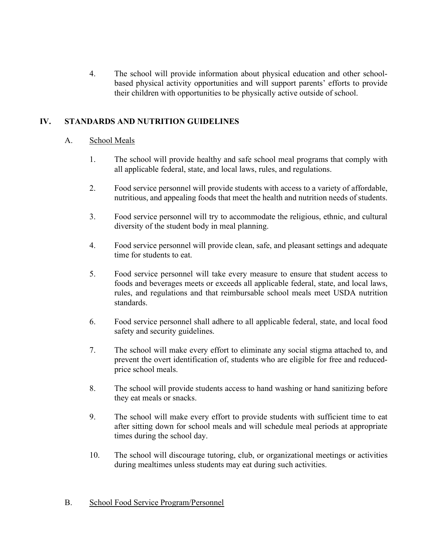4. The school will provide information about physical education and other schoolbased physical activity opportunities and will support parents' efforts to provide their children with opportunities to be physically active outside of school.

## IV. STANDARDS AND NUTRITION GUIDELINES

## A. School Meals

- 1. The school will provide healthy and safe school meal programs that comply with all applicable federal, state, and local laws, rules, and regulations.
- 2. Food service personnel will provide students with access to a variety of affordable, nutritious, and appealing foods that meet the health and nutrition needs of students.
- 3. Food service personnel will try to accommodate the religious, ethnic, and cultural diversity of the student body in meal planning.
- 4. Food service personnel will provide clean, safe, and pleasant settings and adequate time for students to eat.
- 5. Food service personnel will take every measure to ensure that student access to foods and beverages meets or exceeds all applicable federal, state, and local laws, rules, and regulations and that reimbursable school meals meet USDA nutrition standards.
- 6. Food service personnel shall adhere to all applicable federal, state, and local food safety and security guidelines.
- 7. The school will make every effort to eliminate any social stigma attached to, and prevent the overt identification of, students who are eligible for free and reducedprice school meals.
- 8. The school will provide students access to hand washing or hand sanitizing before they eat meals or snacks.
- 9. The school will make every effort to provide students with sufficient time to eat after sitting down for school meals and will schedule meal periods at appropriate times during the school day.
- 10. The school will discourage tutoring, club, or organizational meetings or activities during mealtimes unless students may eat during such activities.

## B. School Food Service Program/Personnel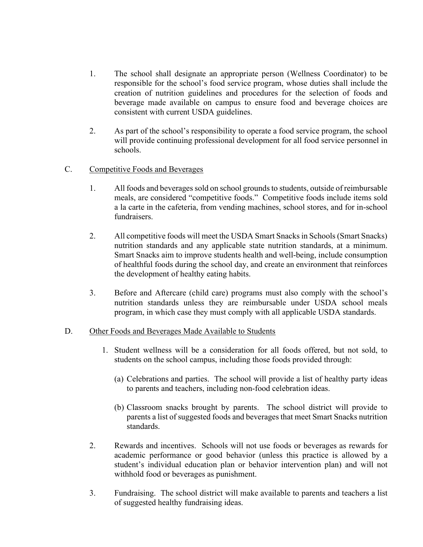- 1. The school shall designate an appropriate person (Wellness Coordinator) to be responsible for the school's food service program, whose duties shall include the creation of nutrition guidelines and procedures for the selection of foods and beverage made available on campus to ensure food and beverage choices are consistent with current USDA guidelines.
- 2. As part of the school's responsibility to operate a food service program, the school will provide continuing professional development for all food service personnel in schools.
- C. Competitive Foods and Beverages
	- 1. All foods and beverages sold on school grounds to students, outside of reimbursable meals, are considered "competitive foods." Competitive foods include items sold a la carte in the cafeteria, from vending machines, school stores, and for in-school fundraisers.
	- 2. All competitive foods will meet the USDA Smart Snacks in Schools (Smart Snacks) nutrition standards and any applicable state nutrition standards, at a minimum. Smart Snacks aim to improve students health and well-being, include consumption of healthful foods during the school day, and create an environment that reinforces the development of healthy eating habits.
	- 3. Before and Aftercare (child care) programs must also comply with the school's nutrition standards unless they are reimbursable under USDA school meals program, in which case they must comply with all applicable USDA standards.

#### D. Other Foods and Beverages Made Available to Students

- 1. Student wellness will be a consideration for all foods offered, but not sold, to students on the school campus, including those foods provided through:
	- (a) Celebrations and parties. The school will provide a list of healthy party ideas to parents and teachers, including non-food celebration ideas.
	- (b) Classroom snacks brought by parents. The school district will provide to parents a list of suggested foods and beverages that meet Smart Snacks nutrition standards.
- 2. Rewards and incentives. Schools will not use foods or beverages as rewards for academic performance or good behavior (unless this practice is allowed by a student's individual education plan or behavior intervention plan) and will not withhold food or beverages as punishment.
- 3. Fundraising. The school district will make available to parents and teachers a list of suggested healthy fundraising ideas.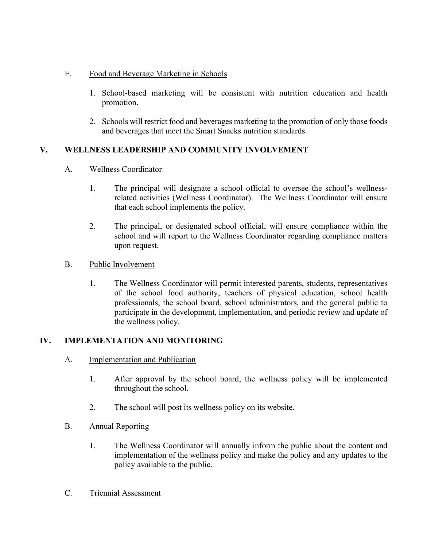## E. Food and Beverage Marketing in Schools

- 1. School-based marketing will be consistent with nutrition education and health promotion.
- 2. Schools will restrict food and beverages marketing to the promotion of only those foods and beverages that meet the Smart Snacks nutrition standards.

## V. WELLNESS LEADERSHIP AND COMMUNITY INVOLVEMENT

## A. Wellness Coordinator

- 1. The principal will designate a school official to oversee the school's wellnessrelated activities (Wellness Coordinator). The Wellness Coordinator will ensure that each school implements the policy.
- 2. The principal, or designated school official, will ensure compliance within the school and will report to the Wellness Coordinator regarding compliance matters upon request.

#### B. Public Involvement

1. The Wellness Coordinator will permit interested parents, students, representatives of the school food authority, teachers of physical education, school health professionals, the school board, school administrators, and the general public to participate in the development, implementation, and periodic review and update of the wellness policy.

## IV. IMPLEMENTATION AND MONITORING

- A. Implementation and Publication
	- 1. After approval by the school board, the wellness policy will be implemented throughout the school.
	- 2. The school will post its wellness policy on its website.
- B. Annual Reporting
	- 1. The Wellness Coordinator will annually inform the public about the content and implementation of the wellness policy and make the policy and any updates to the policy available to the public.
- C. Triennial Assessment